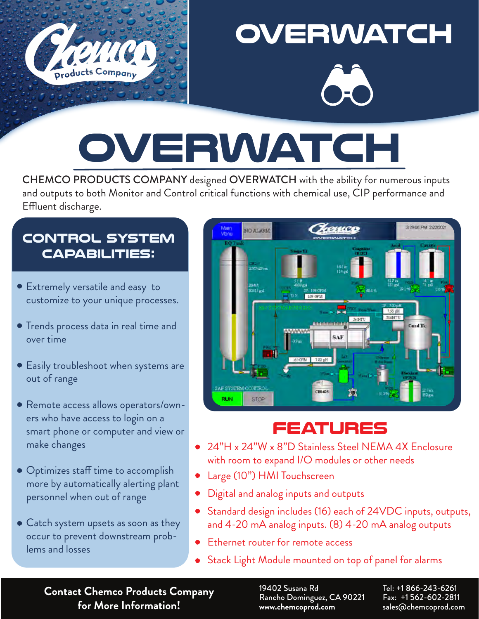

## **overwatch**



## **overwatch SOMPANY designed OVERWATCH with the ability for a**

and outputs to both Monitor and Control critical functions with chemical use, CIP performance and  $\blacksquare$  outputs to both Monitor and Control critical functions with chemical functions with chemical use,  $\blacksquare$ CHEMCO PRODUCTS COMPANY designed OVERWATCH with the ability for numerous inputs Effluent discharge.

#### **CONTROL SYSTEM CAPABILITIES: CONTROL SYSTEM CAPABILITIES:**

- Extremely versatile and easy to Extremely versa�le and easy to customize to your unique processes.
- $\begin{array}{c} \text{Trends process data in real time and} \end{array}$ over time
- Easily troubleshoot when systems are out of range are out of range
- Remote access allows operators/owners who have access to login on a  ${\mathop{\mathsf{smar}}\nolimits}$  phone or computer and view or  ${\mathbb R}$ make changes and view or make  $\epsilon$ Remote access allows operators/
- Optimizes staff time to accomplish more by automatically alerting plant  $\sim$ personnel when out of range Op�mizes staff �me to accom-
- Catch system upsets as soon as they Catch system upsets as soon as occur to prevent downstream problems and losses and problems and losses



#### *FEATURES*  **FEATURES**

- 24"H x 24"W x 8"D Stainless Steel NEMA 4X Enclosure with room to expand I/O modules or other needs
- Large (10") HMI Touchscreen Large (10") HMI Touchscreen
- Digital and analog inputs and outputs Digital and analog inputs and outputs
- Standard design includes (16) each of 24VDC inputs, outputs, 20 mA analog inputs. (8) 4-20 mA analog outputs and 4-20 mA analog inputs. (8) 4-20 mA analog outputs
- Ethernet router for remote access Ethernet router for remote access  $\bullet$
- Stack Light Module mounted on top of panel for alarms Stack Light Module mounted on top of panel for alarms  $\bullet$

**Contact Chemco Products Company for More Information!**

19402 Susana Rd Rancho Dominguez, CA 90221 **www.chemcoprod.com**

Tel: +1 866-243-6261 Fax: +1 562-602-2811 sales@chemcoprod.com